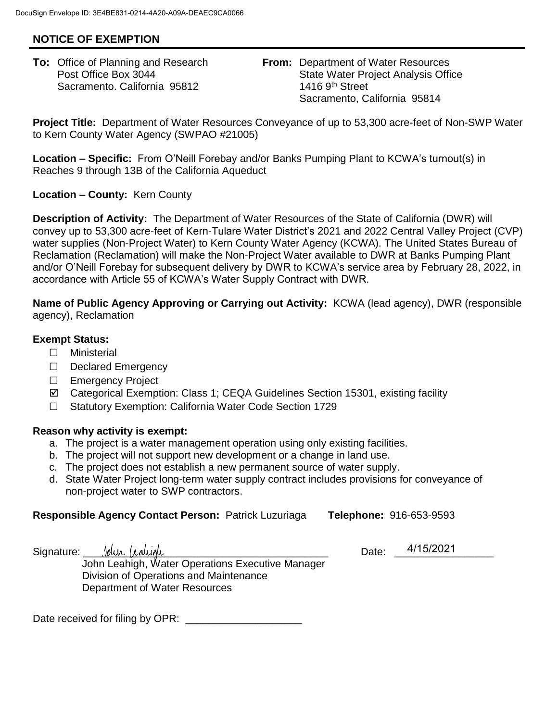## **NOTICE OF EXEMPTION**

Sacramento. California 95812 1416 9th Street

**To:** Office of Planning and Research **From:** Department of Water Resources Post Office Box 3044 **State Water Project Analysis Office Project Analysis Office** Sacramento, California 95814

**Project Title:** Department of Water Resources Conveyance of up to 53,300 acre-feet of Non-SWP Water to Kern County Water Agency (SWPAO #21005)

**Location – Specific:** From O'Neill Forebay and/or Banks Pumping Plant to KCWA's turnout(s) in Reaches 9 through 13B of the California Aqueduct

**Location – County:** Kern County

**Description of Activity:** The Department of Water Resources of the State of California (DWR) will convey up to 53,300 acre-feet of Kern-Tulare Water District's 2021 and 2022 Central Valley Project (CVP) water supplies (Non-Project Water) to Kern County Water Agency (KCWA). The United States Bureau of Reclamation (Reclamation) will make the Non-Project Water available to DWR at Banks Pumping Plant and/or O'Neill Forebay for subsequent delivery by DWR to KCWA's service area by February 28, 2022, in accordance with Article 55 of KCWA's Water Supply Contract with DWR.

**Name of Public Agency Approving or Carrying out Activity:** KCWA (lead agency), DWR (responsible agency), Reclamation

## **Exempt Status:**

- ☐ Ministerial
- ☐ Declared Emergency
- ☐ Emergency Project
- Categorical Exemption: Class 1; CEQA Guidelines Section 15301, existing facility
- ☐ Statutory Exemption: California Water Code Section 1729

## **Reason why activity is exempt:**

- a. The project is a water management operation using only existing facilities.
- b. The project will not support new development or a change in land use.
- c. The project does not establish a new permanent source of water supply.
- d. State Water Project long-term water supply contract includes provisions for conveyance of non-project water to SWP contractors.

## **Responsible Agency Contact Person:** Patrick Luzuriaga **Telephone:** 916-653-9593

4/15/2021

Signature: Jolyn (calugh computed by Date: John Leahigh, Water Operations Executive Manager Division of Operations and Maintenance Department of Water Resources

Date received for filing by OPR: \_\_\_\_\_\_\_\_\_\_\_\_\_\_\_\_\_\_\_\_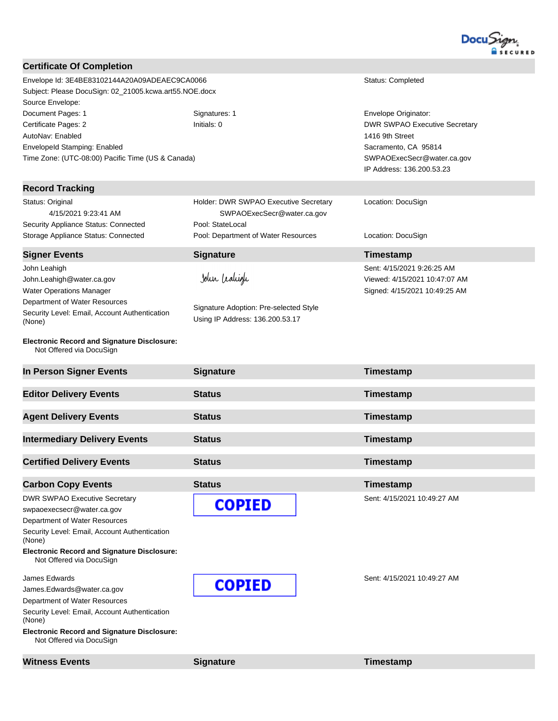

| <b>Certificate Of Completion</b>                                               |                                        |                                          |  |
|--------------------------------------------------------------------------------|----------------------------------------|------------------------------------------|--|
| Envelope Id: 3E4BE83102144A20A09ADEAEC9CA0066                                  | Status: Completed                      |                                          |  |
| Subject: Please DocuSign: 02_21005.kcwa.art55.NOE.docx                         |                                        |                                          |  |
| Source Envelope:                                                               |                                        |                                          |  |
| Document Pages: 1                                                              | Signatures: 1                          | Envelope Originator:                     |  |
| Certificate Pages: 2                                                           | Initials: 0                            | <b>DWR SWPAO Executive Secretary</b>     |  |
| AutoNav: Enabled                                                               |                                        | 1416 9th Street                          |  |
| EnvelopeId Stamping: Enabled                                                   |                                        | Sacramento, CA 95814                     |  |
| Time Zone: (UTC-08:00) Pacific Time (US & Canada)                              |                                        | SWPAOExecSecr@water.ca.gov               |  |
|                                                                                |                                        | IP Address: 136.200.53.23                |  |
| <b>Record Tracking</b>                                                         |                                        |                                          |  |
| Status: Original                                                               | Holder: DWR SWPAO Executive Secretary  | Location: DocuSign                       |  |
| 4/15/2021 9:23:41 AM                                                           | SWPAOExecSecr@water.ca.gov             |                                          |  |
| Security Appliance Status: Connected                                           | Pool: StateLocal                       |                                          |  |
| Storage Appliance Status: Connected                                            | Pool: Department of Water Resources    | Location: DocuSign                       |  |
| <b>Signer Events</b>                                                           | <b>Signature</b>                       | Timestamp                                |  |
| John Leahigh                                                                   |                                        | Sent: 4/15/2021 9:26:25 AM               |  |
| John.Leahigh@water.ca.gov                                                      | John Lealigh                           | Viewed: 4/15/2021 10:47:07 AM            |  |
| Water Operations Manager                                                       |                                        | Signed: 4/15/2021 10:49:25 AM            |  |
| Department of Water Resources                                                  |                                        |                                          |  |
| Security Level: Email, Account Authentication                                  | Signature Adoption: Pre-selected Style |                                          |  |
| (None)                                                                         | Using IP Address: 136.200.53.17        |                                          |  |
| <b>Electronic Record and Signature Disclosure:</b>                             |                                        |                                          |  |
| Not Offered via DocuSign                                                       |                                        |                                          |  |
| In Person Signer Events                                                        | <b>Signature</b>                       | Timestamp                                |  |
| <b>Editor Delivery Events</b>                                                  | <b>Status</b>                          | <b>Timestamp</b>                         |  |
| <b>Agent Delivery Events</b>                                                   | <b>Status</b>                          | Timestamp                                |  |
|                                                                                |                                        |                                          |  |
| <b>Intermediary Delivery Events</b>                                            | <b>Status</b>                          | Timestamp                                |  |
| <b>Certified Delivery Events</b>                                               | <b>Status</b>                          | Timestamp                                |  |
|                                                                                | <b>Status</b>                          |                                          |  |
| <b>Carbon Copy Events</b>                                                      |                                        | Timestamp<br>Sent: 4/15/2021 10:49:27 AM |  |
| <b>DWR SWPAO Executive Secretary</b>                                           | <b>COPIED</b>                          |                                          |  |
| swpaoexecsecr@water.ca.gov                                                     |                                        |                                          |  |
| Department of Water Resources<br>Security Level: Email, Account Authentication |                                        |                                          |  |
| (None)                                                                         |                                        |                                          |  |
| <b>Electronic Record and Signature Disclosure:</b><br>Not Offered via DocuSign |                                        |                                          |  |
| James Edwards                                                                  |                                        | Sent: 4/15/2021 10:49:27 AM              |  |
| James.Edwards@water.ca.gov                                                     | <b>COPIED</b>                          |                                          |  |
| Department of Water Resources                                                  |                                        |                                          |  |
| Security Level: Email, Account Authentication<br>(None)                        |                                        |                                          |  |

**Witness Events Signature Signature Timestamp**